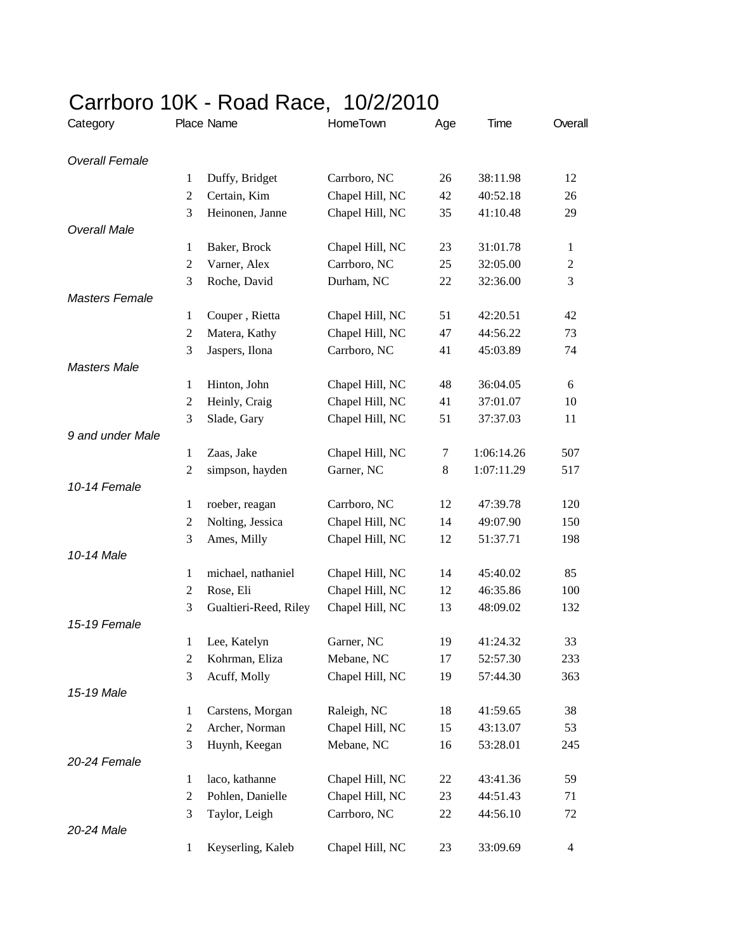| Category              |                | Place Name            | HomeTown        | Age     | Time       | Overall        |
|-----------------------|----------------|-----------------------|-----------------|---------|------------|----------------|
| <b>Overall Female</b> |                |                       |                 |         |            |                |
|                       | 1              | Duffy, Bridget        | Carrboro, NC    | 26      | 38:11.98   | 12             |
|                       | $\overline{2}$ | Certain, Kim          | Chapel Hill, NC | 42      | 40:52.18   | 26             |
|                       | 3              | Heinonen, Janne       | Chapel Hill, NC | 35      | 41:10.48   | 29             |
| <b>Overall Male</b>   |                |                       |                 |         |            |                |
|                       | 1              | Baker, Brock          | Chapel Hill, NC | 23      | 31:01.78   | $\mathbf{1}$   |
|                       | 2              | Varner, Alex          | Carrboro, NC    | 25      | 32:05.00   | $\overline{c}$ |
|                       | 3              | Roche, David          | Durham, NC      | 22      | 32:36.00   | 3              |
| <b>Masters Female</b> |                |                       |                 |         |            |                |
|                       | $\mathbf{1}$   | Couper, Rietta        | Chapel Hill, NC | 51      | 42:20.51   | 42             |
|                       | $\overline{c}$ | Matera, Kathy         | Chapel Hill, NC | 47      | 44:56.22   | 73             |
|                       | 3              | Jaspers, Ilona        | Carrboro, NC    | 41      | 45:03.89   | 74             |
| <b>Masters Male</b>   |                |                       |                 |         |            |                |
|                       | $\mathbf{1}$   | Hinton, John          | Chapel Hill, NC | 48      | 36:04.05   | 6              |
|                       | $\overline{c}$ | Heinly, Craig         | Chapel Hill, NC | 41      | 37:01.07   | 10             |
|                       | 3              | Slade, Gary           | Chapel Hill, NC | 51      | 37:37.03   | 11             |
| 9 and under Male      |                |                       |                 |         |            |                |
|                       | 1              | Zaas, Jake            | Chapel Hill, NC | 7       | 1:06:14.26 | 507            |
|                       | $\overline{c}$ | simpson, hayden       | Garner, NC      | $\,8\,$ | 1:07:11.29 | 517            |
| 10-14 Female          |                |                       |                 |         |            |                |
|                       | $\mathbf{1}$   | roeber, reagan        | Carrboro, NC    | 12      | 47:39.78   | 120            |
|                       | $\overline{c}$ | Nolting, Jessica      | Chapel Hill, NC | 14      | 49:07.90   | 150            |
|                       | 3              | Ames, Milly           | Chapel Hill, NC | 12      | 51:37.71   | 198            |
| 10-14 Male            |                |                       |                 |         |            |                |
|                       | 1              | michael, nathaniel    | Chapel Hill, NC | 14      | 45:40.02   | 85             |
|                       | $\overline{c}$ | Rose, Eli             | Chapel Hill, NC | 12      | 46:35.86   | 100            |
|                       | 3              | Gualtieri-Reed, Riley | Chapel Hill, NC | 13      | 48:09.02   | 132            |
| 15-19 Female          |                |                       |                 |         |            |                |
|                       | 1              | Lee, Katelyn          | Garner, NC      | 19      | 41:24.32   | 33             |
|                       | 2              | Kohrman, Eliza        | Mebane, NC      | 17      | 52:57.30   | 233            |
| 15-19 Male            | 3              | Acuff, Molly          | Chapel Hill, NC | 19      | 57:44.30   | 363            |
|                       | $\mathbf{1}$   | Carstens, Morgan      | Raleigh, NC     | 18      | 41:59.65   | 38             |
|                       | $\overline{c}$ | Archer, Norman        | Chapel Hill, NC | 15      | 43:13.07   | 53             |
|                       | 3              | Huynh, Keegan         | Mebane, NC      | 16      | 53:28.01   | 245            |
| 20-24 Female          |                |                       |                 |         |            |                |
|                       | 1              | laco, kathanne        | Chapel Hill, NC | 22      | 43:41.36   | 59             |
|                       | $\overline{c}$ | Pohlen, Danielle      | Chapel Hill, NC | 23      | 44:51.43   | 71             |
|                       | 3              | Taylor, Leigh         | Carrboro, NC    | 22      | 44:56.10   | 72             |
| 20-24 Male            |                |                       |                 |         |            |                |
|                       | $\mathbf{1}$   | Keyserling, Kaleb     | Chapel Hill, NC | 23      | 33:09.69   | 4              |
|                       |                |                       |                 |         |            |                |

## Carrboro 10K - Road Race, 10/2/2010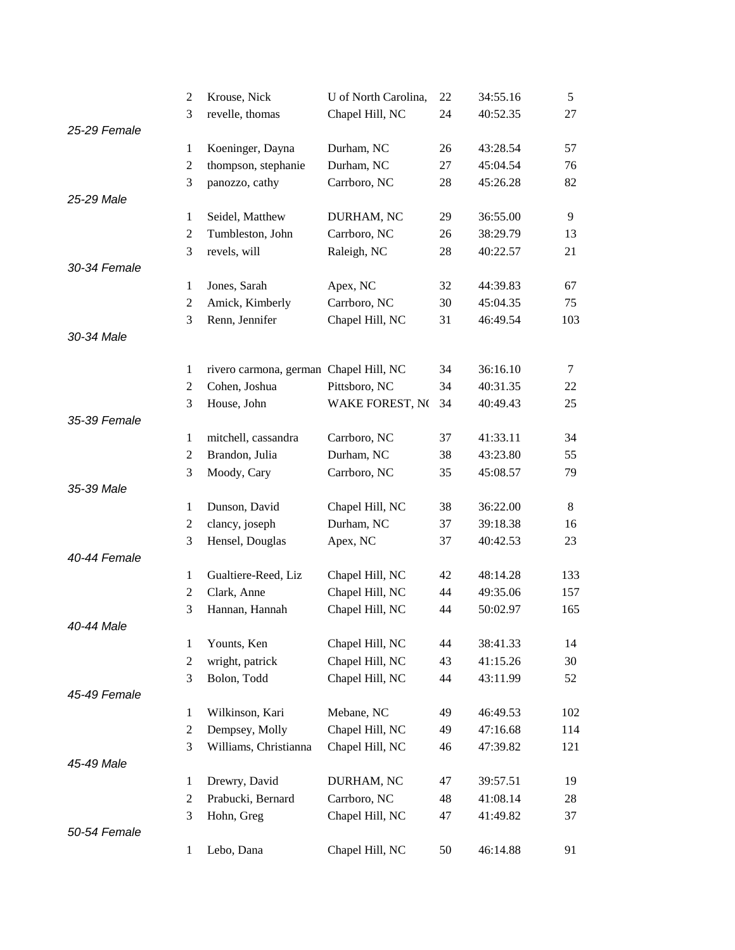|              | 2              | Krouse, Nick                           | U of North Carolina, | 22 | 34:55.16 | 5      |
|--------------|----------------|----------------------------------------|----------------------|----|----------|--------|
|              | 3              | revelle, thomas                        | Chapel Hill, NC      | 24 | 40:52.35 | 27     |
| 25-29 Female |                |                                        |                      |    |          |        |
|              | $\mathbf{1}$   | Koeninger, Dayna                       | Durham, NC           | 26 | 43:28.54 | 57     |
|              | $\overline{c}$ | thompson, stephanie                    | Durham, NC           | 27 | 45:04.54 | 76     |
|              | 3              | panozzo, cathy                         | Carrboro, NC         | 28 | 45:26.28 | 82     |
| 25-29 Male   |                |                                        |                      |    |          |        |
|              | $\mathbf{1}$   | Seidel, Matthew                        | DURHAM, NC           | 29 | 36:55.00 | 9      |
|              | $\overline{2}$ | Tumbleston, John                       | Carrboro, NC         | 26 | 38:29.79 | 13     |
|              | 3              | revels, will                           | Raleigh, NC          | 28 | 40:22.57 | 21     |
| 30-34 Female |                |                                        |                      |    |          |        |
|              | $\mathbf{1}$   | Jones, Sarah                           | Apex, NC             | 32 | 44:39.83 | 67     |
|              | $\mathfrak{2}$ | Amick, Kimberly                        | Carrboro, NC         | 30 | 45:04.35 | 75     |
|              | 3              | Renn, Jennifer                         | Chapel Hill, NC      | 31 | 46:49.54 | 103    |
| 30-34 Male   |                |                                        |                      |    |          |        |
|              |                |                                        |                      |    |          |        |
|              | $\mathbf{1}$   | rivero carmona, german Chapel Hill, NC |                      | 34 | 36:16.10 | $\tau$ |
|              | $\mathfrak{2}$ | Cohen, Joshua                          | Pittsboro, NC        | 34 | 40:31.35 | 22     |
|              | 3              | House, John                            | WAKE FOREST, NO      | 34 | 40:49.43 | 25     |
| 35-39 Female |                |                                        |                      |    |          |        |
|              | 1              | mitchell, cassandra                    | Carrboro, NC         | 37 | 41:33.11 | 34     |
|              | $\mathfrak{2}$ | Brandon, Julia                         | Durham, NC           | 38 | 43:23.80 | 55     |
|              | 3              | Moody, Cary                            | Carrboro, NC         | 35 | 45:08.57 | 79     |
| 35-39 Male   |                |                                        |                      |    |          |        |
|              | $\mathbf{1}$   | Dunson, David                          | Chapel Hill, NC      | 38 | 36:22.00 | 8      |
|              | $\overline{c}$ | clancy, joseph                         | Durham, NC           | 37 | 39:18.38 | 16     |
|              | 3              | Hensel, Douglas                        | Apex, NC             | 37 | 40:42.53 | 23     |
| 40-44 Female |                |                                        |                      |    |          |        |
|              | $\mathbf{1}$   | Gualtiere-Reed, Liz                    | Chapel Hill, NC      | 42 | 48:14.28 | 133    |
|              | $\overline{2}$ | Clark, Anne                            | Chapel Hill, NC      | 44 | 49:35.06 | 157    |
|              | 3              | Hannan, Hannah                         | Chapel Hill, NC      | 44 | 50:02.97 | 165    |
| 40-44 Male   |                |                                        |                      |    |          |        |
|              | $\mathbf{1}$   | Younts, Ken                            | Chapel Hill, NC      | 44 | 38:41.33 | 14     |
|              | $\mathbf{2}$   | wright, patrick                        | Chapel Hill, NC      | 43 | 41:15.26 | 30     |
|              | 3              | Bolon, Todd                            | Chapel Hill, NC      | 44 | 43:11.99 | 52     |
| 45-49 Female |                |                                        |                      |    |          |        |
|              | $\mathbf{1}$   | Wilkinson, Kari                        | Mebane, NC           | 49 | 46:49.53 | 102    |
|              | $\mathbf{2}$   | Dempsey, Molly                         | Chapel Hill, NC      | 49 | 47:16.68 | 114    |
|              | 3              | Williams, Christianna                  | Chapel Hill, NC      | 46 | 47:39.82 | 121    |
| 45-49 Male   |                |                                        |                      |    |          |        |
|              | $\mathbf{1}$   | Drewry, David                          | DURHAM, NC           | 47 | 39:57.51 | 19     |
|              | 2              | Prabucki, Bernard                      | Carrboro, NC         | 48 | 41:08.14 | 28     |
|              | 3              | Hohn, Greg                             | Chapel Hill, NC      | 47 | 41:49.82 | 37     |
| 50-54 Female |                |                                        |                      |    |          |        |
|              | $\mathbf{1}$   | Lebo, Dana                             | Chapel Hill, NC      | 50 | 46:14.88 | 91     |